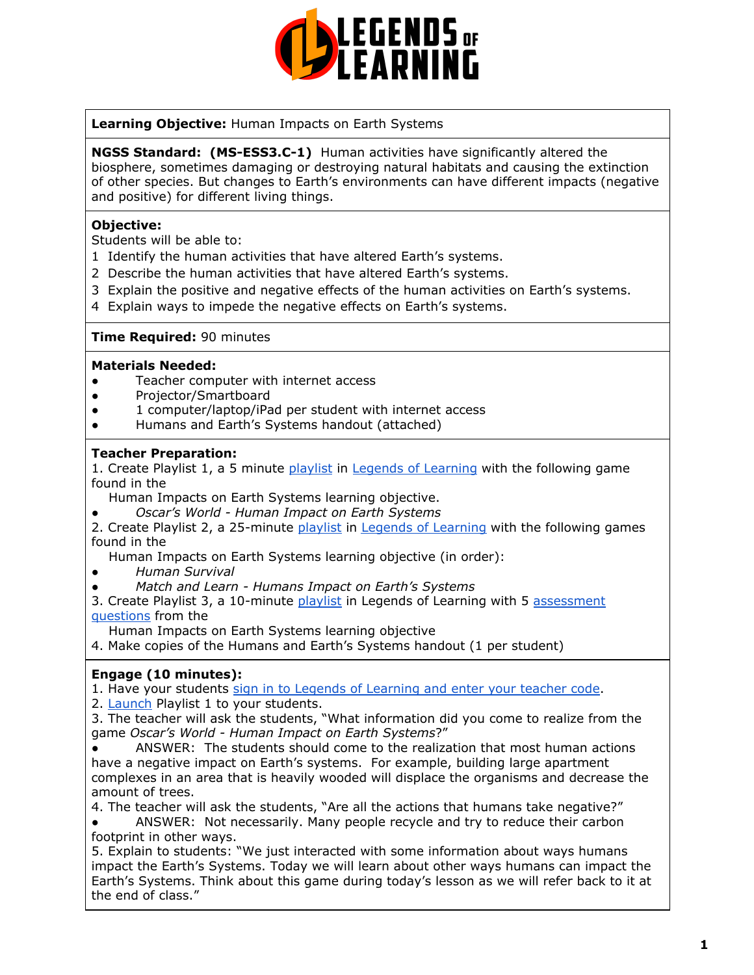

**Learning Objective:** Human Impacts on Earth Systems

**NGSS Standard: (MS-ESS3.C-1)** Human activities have significantly altered the biosphere, sometimes damaging or destroying natural habitats and causing the extinction of other species. But changes to Earth's environments can have different impacts (negative and positive) for different living things.

### **Objective:**

Students will be able to:

- 1 Identify the human activities that have altered Earth's systems.
- 2 Describe the human activities that have altered Earth's systems.
- 3 Explain the positive and negative effects of the human activities on Earth's systems.
- 4 Explain ways to impede the negative effects on Earth's systems.

#### **Time Required:** 90 minutes

#### **Materials Needed:**

- Teacher computer with internet access
- Projector/Smartboard
- 1 computer/laptop/iPad per student with internet access
- Humans and Earth's Systems handout (attached)

#### **Teacher Preparation:**

1. Create Playlist 1, a 5 minute [playlist](https://lol.desk.com/customer/en/portal/articles/2822815-creating-multiple-playlists) in Legends of [Learning](https://teachers.legendsoflearning.com/sign-in) with the following game found in the

Human Impacts on Earth Systems learning objective.

*● Oscar's World - Human Impact on Earth Systems*

2. Create Playlist 2, a 25-minute [playlist](https://lol.desk.com/customer/en/portal/articles/2822815-creating-multiple-playlists) in Legends of [Learning](https://teachers.legendsoflearning.com/sign-in) with the following games found in the

Human Impacts on Earth Systems learning objective (in order):

- *● Human Survival*
- *● Match and Learn - Humans Impact on Earth's Systems*

3. Create Playlist 3, a 10-minute [playlist](https://lol.desk.com/customer/en/portal/articles/2822815-creating-multiple-playlists) in Legends of Learning with 5 [assessment](https://lol.desk.com/customer/en/portal/articles/2777129-adding-assessments-to-a-playlist) [questions](https://lol.desk.com/customer/en/portal/articles/2777129-adding-assessments-to-a-playlist) from the

Human Impacts on Earth Systems learning objective

4. Make copies of the Humans and Earth's Systems handout (1 per student)

# **Engage (10 minutes):**

1. Have your students sign in to Legends of [Learning](https://lol.desk.com/customer/en/portal/articles/2809984-students-joining-a-playlist) and enter your teacher code.

2. **[Launch](https://lol.desk.com/customer/en/portal/articles/2822815-creating-multiple-playlists) Playlist 1 to your students.** 

3. The teacher will ask the students, "What information did you come to realize from the game *Oscar's World - Human Impact on Earth Systems*?"

● ANSWER: The students should come to the realization that most human actions have a negative impact on Earth's systems. For example, building large apartment complexes in an area that is heavily wooded will displace the organisms and decrease the amount of trees.

4. The teacher will ask the students, "Are all the actions that humans take negative?"

● ANSWER: Not necessarily. Many people recycle and try to reduce their carbon footprint in other ways.

5. Explain to students: "We just interacted with some information about ways humans impact the Earth's Systems. Today we will learn about other ways humans can impact the Earth's Systems. Think about this game during today's lesson as we will refer back to it at the end of class."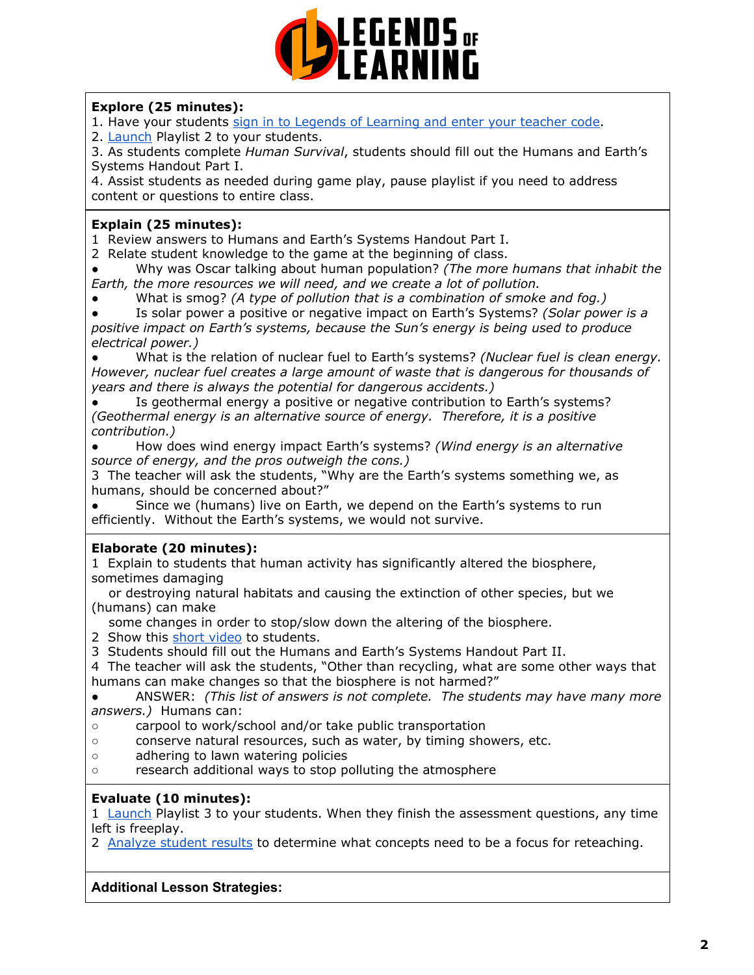

## **Explore (25 minutes):**

- 1. Have your students sign in to Legends of [Learning](https://lol.desk.com/customer/en/portal/articles/2809984-students-joining-a-playlist) and enter your teacher code.
- 2. [Launch](https://lol.desk.com/customer/en/portal/articles/2822815-creating-multiple-playlists) Playlist 2 to your students.

3. As students complete *Human Survival*, students should fill out the Humans and Earth's Systems Handout Part I.

4. Assist students as needed during game play, pause playlist if you need to address content or questions to entire class.

### **Explain (25 minutes):**

1 Review answers to Humans and Earth's Systems Handout Part I.

2 Relate student knowledge to the game at the beginning of class.

● Why was Oscar talking about human population? *(The more humans that inhabit the Earth, the more resources we will need, and we create a lot of pollution.*

● What is smog? *(A type of pollution that is a combination of smoke and fog.)*

● Is solar power a positive or negative impact on Earth's Systems? *(Solar power is a positive impact on Earth's systems, because the Sun's energy is being used to produce electrical power.)*

● What is the relation of nuclear fuel to Earth's systems? *(Nuclear fuel is clean energy. However, nuclear fuel creates a large amount of waste that is dangerous for thousands of years and there is always the potential for dangerous accidents.)*

Is geothermal energy a positive or negative contribution to Earth's systems? *(Geothermal energy is an alternative source of energy. Therefore, it is a positive contribution.)*

● How does wind energy impact Earth's systems? *(Wind energy is an alternative source of energy, and the pros outweigh the cons.)*

3 The teacher will ask the students, "Why are the Earth's systems something we, as humans, should be concerned about?"

Since we (humans) live on Earth, we depend on the Earth's systems to run efficiently. Without the Earth's systems, we would not survive.

### **Elaborate (20 minutes):**

1 Explain to students that human activity has significantly altered the biosphere, sometimes damaging

or destroying natural habitats and causing the extinction of other species, but we (humans) can make

some changes in order to stop/slow down the altering of the biosphere.

- 2 Show this short [video](https://www.youtube.com/playlist?list=PLbuSOUvS6tFXNru3Hn2IDlJN_iieaGMOR) to students.
- 3 Students should fill out the Humans and Earth's Systems Handout Part II.

4 The teacher will ask the students, "Other than recycling, what are some other ways that humans can make changes so that the biosphere is not harmed?"

● ANSWER: *(This list of answers is not complete. The students may have many more answers.)* Humans can:

- carpool to work/school and/or take public transportation
- conserve natural resources, such as water, by timing showers, etc.
- adhering to lawn watering policies
- research additional ways to stop polluting the atmosphere

### **Evaluate (10 minutes):**

1 [Launch](https://lol.desk.com/customer/en/portal/articles/2822815-creating-multiple-playlists) Playlist 3 to your students. When they finish the assessment questions, any time left is freeplay.

2 [Analyze](https://lol.desk.com/customer/en/portal/articles/2787419-tracking-student-progress-and-performance) student results to determine what concepts need to be a focus for reteaching.

### **Additional Lesson Strategies:**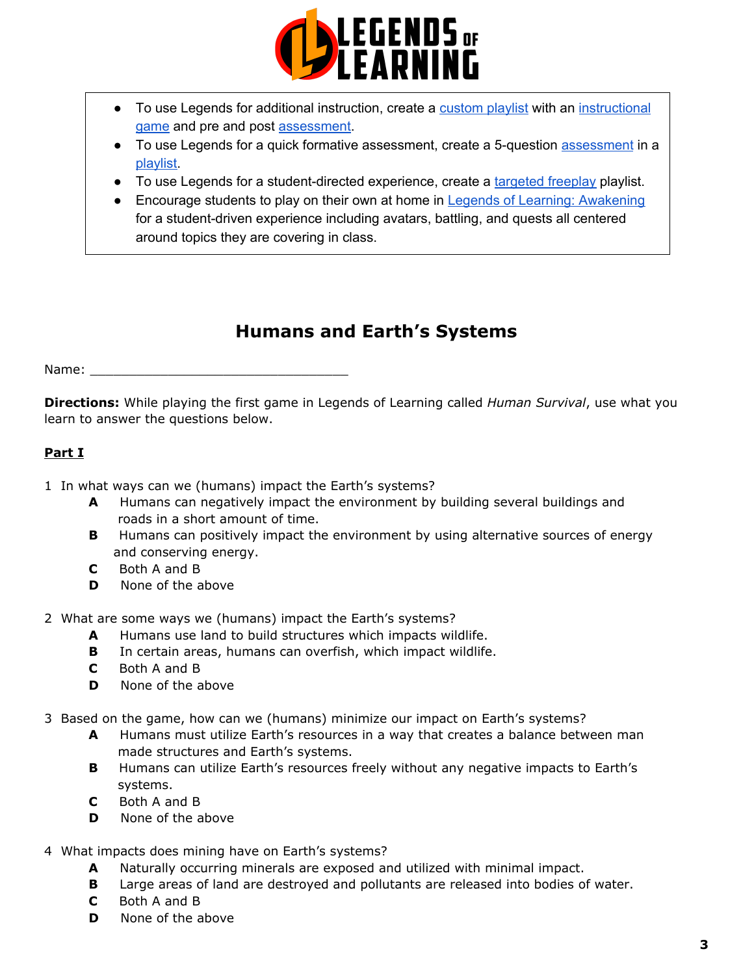

- To use Legends for additional instruction, create a [custom](https://intercom.help/legends-of-learning/en/articles/2154910-creating-a-playlist) playlist with an [instructional](https://intercom.help/legends-of-learning/en/articles/3505828-types-of-games) [game](https://intercom.help/legends-of-learning/en/articles/3505828-types-of-games) and pre and post [assessment](https://intercom.help/legends-of-learning/en/articles/2154913-adding-assessments-to-a-playlist).
- To use Legends for a quick formative [assessment](https://intercom.help/legends-of-learning/en/articles/2154913-adding-assessments-to-a-playlist), create a 5-question assessment in a [playlist.](https://intercom.help/legends-of-learning/en/articles/2154910-creating-a-playlist)
- To use Legends for a student-directed experience, create a [targeted](https://intercom.help/legends-of-learning/en/articles/3340814-targeted-freeplay) freeplay playlist.
- Encourage students to play on their own at home in Legends of Learning: [Awakening](https://intercom.help/legends-of-learning/en/articles/2425490-legends-of-learning-awakening) for a student-driven experience including avatars, battling, and quests all centered around topics they are covering in class.

# **Humans and Earth's Systems**

Name:  $\blacksquare$ 

**Directions:** While playing the first game in Legends of Learning called *Human Survival*, use what you learn to answer the questions below.

# **Part I**

1 In what ways can we (humans) impact the Earth's systems?

- **A** Humans can negatively impact the environment by building several buildings and roads in a short amount of time.
- **B** Humans can positively impact the environment by using alternative sources of energy and conserving energy.
- **C** Both A and B
- **D** None of the above
- 2 What are some ways we (humans) impact the Earth's systems?
	- **A** Humans use land to build structures which impacts wildlife.
	- **B** In certain areas, humans can overfish, which impact wildlife.
	- **C** Both A and B
	- **D** None of the above
- 3 Based on the game, how can we (humans) minimize our impact on Earth's systems?
	- **A** Humans must utilize Earth's resources in a way that creates a balance between man made structures and Earth's systems.
	- **B** Humans can utilize Earth's resources freely without any negative impacts to Earth's systems.
	- **C** Both A and B
	- **D** None of the above
- 4 What impacts does mining have on Earth's systems?
	- **A** Naturally occurring minerals are exposed and utilized with minimal impact.
	- **B** Large areas of land are destroyed and pollutants are released into bodies of water.
	- **C** Both A and B
	- **D** None of the above